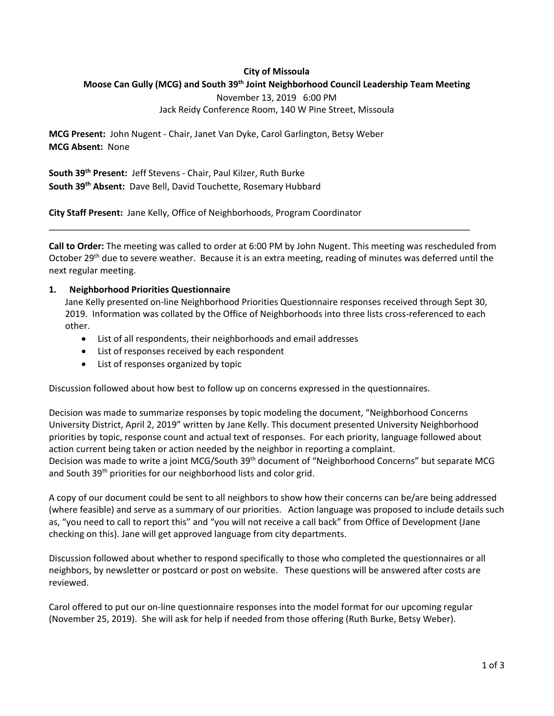## **City of Missoula**

# **Moose Can Gully (MCG) and South 39th Joint Neighborhood Council Leadership Team Meeting**

November 13, 2019 6:00 PM Jack Reidy Conference Room, 140 W Pine Street, Missoula

**MCG Present:** John Nugent - Chair, Janet Van Dyke, Carol Garlington, Betsy Weber **MCG Absent:** None

**South 39th Present:** Jeff Stevens - Chair, Paul Kilzer, Ruth Burke **South 39th Absent:** Dave Bell, David Touchette, Rosemary Hubbard

**City Staff Present:** Jane Kelly, Office of Neighborhoods, Program Coordinator

**Call to Order:** The meeting was called to order at 6:00 PM by John Nugent. This meeting was rescheduled from October 29<sup>th</sup> due to severe weather. Because it is an extra meeting, reading of minutes was deferred until the next regular meeting.

\_\_\_\_\_\_\_\_\_\_\_\_\_\_\_\_\_\_\_\_\_\_\_\_\_\_\_\_\_\_\_\_\_\_\_\_\_\_\_\_\_\_\_\_\_\_\_\_\_\_\_\_\_\_\_\_\_\_\_\_\_\_\_\_\_\_\_\_\_\_\_\_\_\_\_\_\_\_\_\_\_\_\_\_\_

### **1. Neighborhood Priorities Questionnaire**

Jane Kelly presented on-line Neighborhood Priorities Questionnaire responses received through Sept 30, 2019. Information was collated by the Office of Neighborhoods into three lists cross-referenced to each other.

- List of all respondents, their neighborhoods and email addresses
- List of responses received by each respondent
- List of responses organized by topic

Discussion followed about how best to follow up on concerns expressed in the questionnaires.

Decision was made to summarize responses by topic modeling the document, "Neighborhood Concerns University District, April 2, 2019" written by Jane Kelly. This document presented University Neighborhood priorities by topic, response count and actual text of responses. For each priority, language followed about action current being taken or action needed by the neighbor in reporting a complaint. Decision was made to write a joint MCG/South 39<sup>th</sup> document of "Neighborhood Concerns" but separate MCG and South 39<sup>th</sup> priorities for our neighborhood lists and color grid.

A copy of our document could be sent to all neighbors to show how their concerns can be/are being addressed (where feasible) and serve as a summary of our priorities. Action language was proposed to include details such as, "you need to call to report this" and "you will not receive a call back" from Office of Development (Jane checking on this). Jane will get approved language from city departments.

Discussion followed about whether to respond specifically to those who completed the questionnaires or all neighbors, by newsletter or postcard or post on website. These questions will be answered after costs are reviewed.

Carol offered to put our on-line questionnaire responses into the model format for our upcoming regular (November 25, 2019). She will ask for help if needed from those offering (Ruth Burke, Betsy Weber).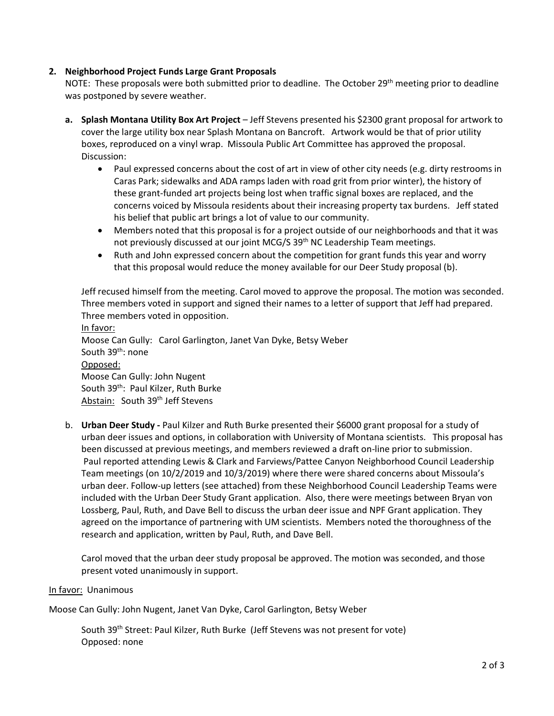# **2. Neighborhood Project Funds Large Grant Proposals**

NOTE: These proposals were both submitted prior to deadline. The October  $29<sup>th</sup>$  meeting prior to deadline was postponed by severe weather.

- **a. Splash Montana Utility Box Art Project**  Jeff Stevens presented his \$2300 grant proposal for artwork to cover the large utility box near Splash Montana on Bancroft. Artwork would be that of prior utility boxes, reproduced on a vinyl wrap. Missoula Public Art Committee has approved the proposal. Discussion:
	- Paul expressed concerns about the cost of art in view of other city needs (e.g. dirty restrooms in Caras Park; sidewalks and ADA ramps laden with road grit from prior winter), the history of these grant-funded art projects being lost when traffic signal boxes are replaced, and the concerns voiced by Missoula residents about their increasing property tax burdens. Jeff stated his belief that public art brings a lot of value to our community.
	- Members noted that this proposal is for a project outside of our neighborhoods and that it was not previously discussed at our joint MCG/S 39<sup>th</sup> NC Leadership Team meetings.
	- Ruth and John expressed concern about the competition for grant funds this year and worry that this proposal would reduce the money available for our Deer Study proposal (b).

Jeff recused himself from the meeting. Carol moved to approve the proposal. The motion was seconded. Three members voted in support and signed their names to a letter of support that Jeff had prepared. Three members voted in opposition.

In favor: Moose Can Gully: Carol Garlington, Janet Van Dyke, Betsy Weber South 39th: none Opposed: Moose Can Gully: John Nugent South 39<sup>th</sup>: Paul Kilzer, Ruth Burke Abstain: South 39<sup>th</sup> Jeff Stevens

b. **Urban Deer Study -** Paul Kilzer and Ruth Burke presented their \$6000 grant proposal for a study of urban deer issues and options, in collaboration with University of Montana scientists. This proposal has been discussed at previous meetings, and members reviewed a draft on-line prior to submission. Paul reported attending Lewis & Clark and Farviews/Pattee Canyon Neighborhood Council Leadership Team meetings (on 10/2/2019 and 10/3/2019) where there were shared concerns about Missoula's urban deer. Follow-up letters (see attached) from these Neighborhood Council Leadership Teams were included with the Urban Deer Study Grant application. Also, there were meetings between Bryan von Lossberg, Paul, Ruth, and Dave Bell to discuss the urban deer issue and NPF Grant application. They agreed on the importance of partnering with UM scientists. Members noted the thoroughness of the research and application, written by Paul, Ruth, and Dave Bell.

Carol moved that the urban deer study proposal be approved. The motion was seconded, and those present voted unanimously in support.

### In favor: Unanimous

Moose Can Gully: John Nugent, Janet Van Dyke, Carol Garlington, Betsy Weber

South 39th Street: Paul Kilzer, Ruth Burke (Jeff Stevens was not present for vote) Opposed: none